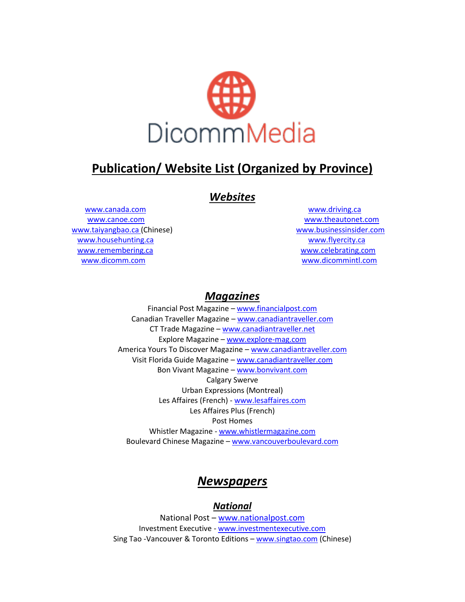

# **Publication/ Website List (Organized by Province)**

## *Websites*

[www.canada.com](http://www.canada.com/) [www.driving.ca](http://www.driving.ca/) [www.canoe.com](http://www.canoe.com/) [www.theautonet.com](http://www.theautonet.com/) [www.taiyangbao.ca](http://www.taiyangbao.ca/) (Chinese) [www.businessinsider.com](http://www.businessinsider.com/) [www.househunting.ca](http://www.househunting.ca/) **[www.flyercity.ca](http://www.flyercity.ca/)** www.flyercity.ca [www.remembering.ca](http://www.remembering.ca/) [www.celebrating.com](http://www.celebrating.com/) [www.dicomm.com](http://www.dicomm.com/) [www.dicommintl.com](http://www.dicommintl.com/)

## *Magazines*

Financial Post Magazine – [www.financialpost.com](http://www.financialpost.com/) Canadian Traveller Magazine – [www.canadiantraveller.com](http://www.canadiantraveller.com/) CT Trade Magazine – [www.canadiantraveller.net](http://www.canadiantraveller.net/) Explore Magazine – [www.explore-mag.com](http://www.explore-mag.com/) America Yours To Discover Magazine - [www.canadiantraveller.com](http://www.canadiantraveller.com/) Visit Florida Guide Magazine – [www.canadiantraveller.com](http://www.canadiantraveller.com/) Bon Vivant Magazine – [www.bonvivant.com](http://www.bonvivant.com/) Calgary Swerve Urban Expressions (Montreal) Les Affaires (French) - [www.lesaffaires.com](http://www.lesaffaires.com/) Les Affaires Plus (French) Post Homes Whistler Magazine - [www.whistlermagazine.com](http://www.whistlermagazine.com/) Boulevard Chinese Magazine – [www.vancouverboulevard.com](http://www.vancouverboulevard.com/)

## *Newspapers*

### *National*

National Post - [www.nationalpost.com](http://www.nationalpost.com/) Investment Executive - [www.investmentexecutive.com](http://www.investmentexecutive.com/) Sing Tao -Vancouver & Toronto Editions – [www.singtao.com](http://www.singtao.com/) (Chinese)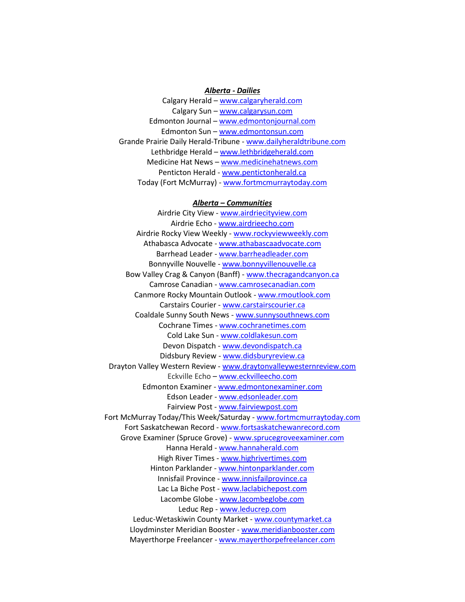#### *Alberta - Dailies*

Calgary Herald – [www.calgaryherald.com](http://www.calgaryherald.com/) Calgary Sun - [www.calgarysun.com](http://www.calgarysun.com/) Edmonton Journal – [www.edmontonjournal.com](http://www.edmontonjournal.com/) Edmonton Sun – [www.edmontonsun.com](http://www.edmontonsun.com/) Grande Prairie Daily Herald-Tribune - [www.dailyheraldtribune.com](http://www.dailyheraldtribune.com/) Lethbridge Herald – [www.lethbridgeherald.com](http://www.lethbridgeherald.com/) Medicine Hat News – [www.medicinehatnews.com](http://www.medicinehatnews.com/) Penticton Herald - [www.pentictonherald.ca](http://www.pentictonherald.ca/) Today (Fort McMurray) - [www.fortmcmurraytoday.com](http://www.fortmcmurraytoday.com/)

#### *Alberta – Communities*

Airdrie City View - [www.airdriecityview.com](http://www.airdriecityview.com/) Airdrie Echo - [www.airdrieecho.com](http://www.airdrieecho.com/) Airdrie Rocky View Weekly - [www.rockyviewweekly.com](http://www.rockyviewweekly.com/) Athabasca Advocate - [www.athabascaadvocate.com](http://www.athabascaadvocate.com/) Barrhead Leader - [www.barrheadleader.com](http://www.barrheadleader.com/) Bonnyville Nouvelle - [www.bonnyvillenouvelle.ca](http://www.bonnyvillenouvelle.ca/) Bow Valley Crag & Canyon (Banff) - [www.thecragandcanyon.ca](http://www.thecragandcanyon.ca/) Camrose Canadian - [www.camrosecanadian.com](http://www.camrosecanadian.com/) Canmore Rocky Mountain Outlook - [www.rmoutlook.com](http://www.rmoutlook.com/) Carstairs Courier - [www.carstairscourier.ca](http://www.carstairscourier.ca/) Coaldale Sunny South News - [www.sunnysouthnews.com](http://www.sunnysouthnews.com/) Cochrane Times - [www.cochranetimes.com](http://www.cochranetimes.com/) Cold Lake Sun - [www.coldlakesun.com](http://www.coldlakesun.com/) Devon Dispatch - [www.devondispatch.ca](http://www.devondispatch.ca/) Didsbury Review - [www.didsburyreview.ca](http://www.didsburyreview.ca/) Drayton Valley Western Review - [www.draytonvalleywesternreview.com](http://www.draytonvalleywesternreview.com/) Eckville Echo – [www.eckvilleecho.com](http://www.eckvilleecho.com/) Edmonton Examiner - [www.edmontonexaminer.com](http://www.edmontonexaminer.com/) Edson Leader - [www.edsonleader.com](http://www.edsonleader.com/) Fairview Post - [www.fairviewpost.com](http://www.fairviewpost.com/) Fort McMurray Today/This Week/Saturday - [www.fortmcmurraytoday.com](http://www.fortmcmurraytoday.com/) Fort Saskatchewan Record - [www.fortsaskatchewanrecord.com](http://www.fortsaskatchewanrecord.com/) Grove Examiner (Spruce Grove) - [www.sprucegroveexaminer.com](http://www.sprucegroveexaminer.com/) Hanna Herald - [www.hannaherald.com](http://www.hannaherald.com/) High River Times - [www.highrivertimes.com](http://www.highrivertimes.com/) Hinton Parklander - [www.hintonparklander.com](http://www.hintonparklander.com/) Innisfail Province - [www.innisfailprovince.ca](http://www.innisfailprovince.ca/) Lac La Biche Post - [www.laclabichepost.com](http://www.laclabichepost.com/) Lacombe Globe - [www.lacombeglobe.com](http://www.lacombeglobe.com/) Leduc Rep - [www.leducrep.com](http://www.leducrep.com/) Leduc-Wetaskiwin County Market - [www.countymarket.ca](http://www.countymarket.ca/) Lloydminster Meridian Booster - [www.meridianbooster.com](http://www.meridianbooster.com/) Mayerthorpe Freelancer - [www.mayerthorpefreelancer.com](http://www.mayerthorpefreelancer.com/)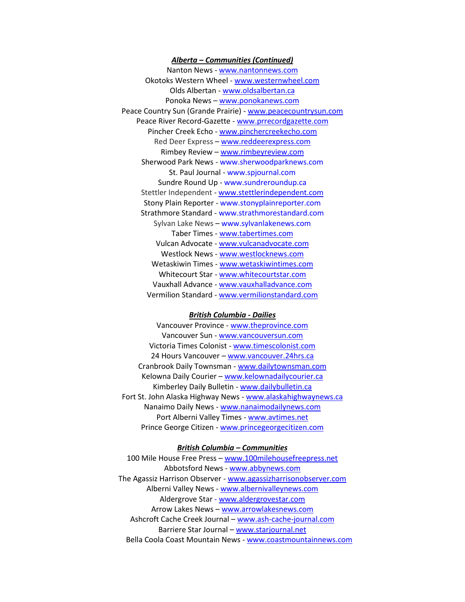#### *Alberta – Communities (Continued)*

Nanton News - [www.nantonnews.com](http://www.nantonnews.com/) Okotoks Western Wheel - [www.westernwheel.com](http://www.westernwheel.com/) Olds Albertan - [www.oldsalbertan.ca](http://www.oldsalbertan.ca/) [Ponoka News](http://blackpress.ca/publications/?id=114) – [www.ponokanews.com](http://www.ponokanews.com/) Peace Country Sun (Grande Prairie) - [www.peacecountrysun.com](http://www.peacecountrysun.com/) Peace River Record-Gazette - [www.prrecordgazette.com](http://www.prrecordgazette.com/) Pincher Creek Echo - [www.pinchercreekecho.com](http://www.pinchercreekecho.com/) Red Deer Express – [www.reddeerexpress.com](http://www.reddeerexpress.com/) [Rimbey Review](http://blackpress.ca/publications/?id=119) – [www.rimbeyreview.com](http://www.rimbeyreview.com/) Sherwood Park News - [www.sherwoodparknews.com](http://www.sherwoodparknews.com/) St. Paul Journal - [www.spjournal.com](http://www.spjournal.com/) Sundre Round Up - [www.sundreroundup.ca](http://www.sundreroundup.ca/) Stettler Independent - [www.stettlerindependent.com](http://www.stettlerindependent.com/) Stony Plain Reporter - [www.stonyplainreporter.com](http://www.stonyplainreporter.com/) Strathmore Standard - [www.strathmorestandard.com](http://www.strathmorestandard.com/) Sylvan Lake News – [www.sylvanlakenews.com](http://www.sylvanlakenews.com/) Taber Times - [www.tabertimes.com](http://www.tabertimes.com/) Vulcan Advocate - [www.vulcanadvocate.com](http://www.vulcanadvocate.com/) Westlock News - [www.westlocknews.com](http://www.westlocknews.com/) Wetaskiwin Times - [www.wetaskiwintimes.com](http://www.wetaskiwintimes.com/) Whitecourt Star - [www.whitecourtstar.com](http://www.whitecourtstar.com/) Vauxhall Advance - [www.vauxhalladvance.com](http://www.vauxhalladvance.com/) Vermilion Standard - [www.vermilionstandard.com](http://www.vermilionstandard.com/)

#### *British Columbia - Dailies*

Vancouver Province - [www.theprovince.com](http://www.theprovince.com/) Vancouver Sun - [www.vancouversun.com](http://www.vancouversun.com/) Victoria Times Colonist - [www.timescolonist.com](http://www.timescolonist.com/) 24 Hours Vancouver – [www.vancouver.24hrs.ca](http://www.vancouver.24hrs.ca/) Cranbrook Daily Townsman - [www.dailytownsman.com](http://www.dailytownsman.com/) Kelowna Daily Courier - [www.kelownadailycourier.ca](http://www.kelownadailycourier.ca/) Kimberley Daily Bulletin - [www.dailybulletin.ca](http://www.dailybulletin.ca/) Fort St. John Alaska Highway News - [www.alaskahighwaynews.ca](http://www.alaskahighwaynews.ca/) Nanaimo Daily News - [www.nanaimodailynews.com](http://www.nanaimodailynews.com/) Port Alberni Valley Times - [www.avtimes.net](http://www.avtimes.net/) Prince George Citizen - [www.princegeorgecitizen.com](http://www.princegeorgecitizen.com/)

#### *British Columbia – Communities*

[100 Mile House Free Press](http://blackpress.ca/publications/?id=1) – [www.100milehousefreepress.net](http://www.100milehousefreepress.net/) Abbotsford News - [www.abbynews.com](http://www.abbynews.com/) The Agassiz Harrison Observer - [www.agassizharrisonobserver.com](http://www.agassizharrisonobserver.com/) Alberni Valley News - [www.albernivalleynews.com](http://www.albernivalleynews.com/) Aldergrove Star - [www.aldergrovestar.com](http://www.aldergrovestar.com/) Arrow Lakes News – [www.arrowlakesnews.com](http://www.arrowlakesnews.com/) Ashcroft Cache Creek Journal – [www.ash-cache-journal.com](http://www.ash-cache-journal.com/) [Barriere Star Journal](http://blackpress.ca/publications/?id=4) – [www.starjournal.net](http://www.starjournal.net/) Bella Coola Coast Mountain News - [www.coastmountainnews.com](http://www.coastmountainnews.com/)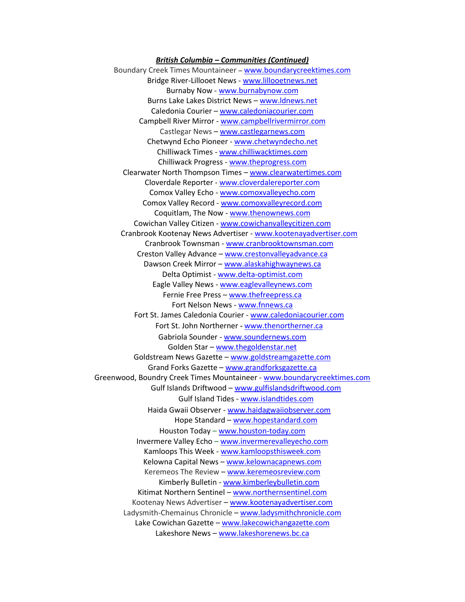#### *British Columbia – Communities (Continued)*

Boundary Creek Times Mountaineer – [www.boundarycreektimes.com](http://www.boundarycreektimes.com/) Bridge River-Lillooet News - [www.lillooetnews.net](http://www.lillooetnews.net/) Burnaby Now - [www.burnabynow.com](http://www.burnabynow.com/) [Burns Lake Lakes District News](http://blackpress.ca/publications/?id=5) – [www.ldnews.net](http://www.ldnews.net/) [Caledonia Courier](http://blackpress.ca/publications/?id=11) – [www.caledoniacourier.com](http://www.caledoniacourier.com/) Campbell River Mirror - [www.campbellrivermirror.com](http://www.campbellrivermirror.com/) Castlegar News – [www.castlegarnews.com](http://www.castlegarnews.com/) Chetwynd Echo Pioneer - [www.chetwyndecho.net](http://www.chetwyndecho.net/) Chilliwack Times - [www.chilliwacktimes.com](http://www.chilliwacktimes.com/) Chilliwack Progress - [www.theprogress.com](http://www.theprogress.com/) Clearwater North Thompson Times – [www.clearwatertimes.com](http://www.clearwatertimes.com/) Cloverdale Reporter - [www.cloverdalereporter.com](http://www.cloverdalereporter.com/) Comox Valley Echo - [www.comoxvalleyecho.com](http://www.comoxvalleyecho.com/) Comox Valley Record - [www.comoxvalleyrecord.com](http://www.comoxvalleyrecord.com/) Coquitlam, The Now - [www.thenownews.com](http://www.thenownews.com/) Cowichan Valley Citizen - [www.cowichanvalleycitizen.com](http://www.cowichanvalleycitizen.com/) Cranbrook Kootenay News Advertiser - [www.kootenayadvertiser.com](http://www.kootenayadvertiser.com/) Cranbrook Townsman - [www.cranbrooktownsman.com](http://www.cranbrooktownsman.com/) Creston Valley Advance – [www.crestonvalleyadvance.ca](http://www.crestonvalleyadvance.ca/) Dawson Creek Mirror – [www.alaskahighwaynews.ca](http://www.alaskahighwaynews.ca/) Delta Optimist - [www.delta-optimist.com](http://www.delta-optimist.com/) Eagle Valley News - [www.eaglevalleynews.com](http://www.eaglevalleynews.com/) Fernie Free Press - [www.thefreepress.ca](http://www.thefreepress.ca/) Fort Nelson News - [www.fnnews.ca](http://www.fnnews.ca/) Fort St. James Caledonia Courier - [www.caledoniacourier.com](http://www.caledoniacourier.com/) Fort St. John Northerner - [www.thenortherner.ca](http://www.thenortherner.ca/) Gabriola Sounder - [www.soundernews.com](http://www.soundernews.com/) Golden Star – [www.thegoldenstar.net](http://www.thegoldenstar.net/) Goldstream News Gazette – [www.goldstreamgazette.com](http://www.goldstreamgazette.com/) Grand Forks Gazette – [www.grandforksgazette.ca](http://www.grandforksgazette.ca/) Greenwood, Boundry Creek Times Mountaineer - [www.boundarycreektimes.com](http://www.boundarycreektimes.com/) Gulf Islands Driftwood – [www.gulfislandsdriftwood.com](http://www.gulfislandsdriftwood.com/) Gulf Island Tides - [www.islandtides.com](http://www.islandtides.com/) Haida Gwaii Observer - [www.haidagwaiiobserver.com](http://www.haidagwaiiobserver.com/) Hope Standard – [www.hopestandard.com](http://www.hopestandard.com/) Houston Today – [www.houston-today.com](http://www.houston-today.com/) Invermere Valley Echo - [www.invermerevalleyecho.com](http://www.invermerevalleyecho.com/) Kamloops This Week - [www.kamloopsthisweek.com](http://www.kamloopsthisweek.com/) Kelowna Capital News – [www.kelownacapnews.com](http://www.kelownacapnews.com/) Keremeos The Review – [www.keremeosreview.com](http://www.keremeosreview.com/) Kimberly Bulletin - [www.kimberleybulletin.com](http://www.kimberleybulletin.com/) Kitimat Northern Sentinel – [www.northernsentinel.com](http://www.northernsentinel.com/) Kootenay News Advertiser – [www.kootenayadvertiser.com](http://www.kootenayadvertiser.com/) Ladysmith-Chemainus Chronicle - [www.ladysmithchronicle.com](http://www.ladysmithchronicle.com/) Lake Cowichan Gazette – [www.lakecowichangazette.com](http://www.lakecowichangazette.com/) Lakeshore News – [www.lakeshorenews.bc.ca](http://www.lakeshorenews.bc.ca/)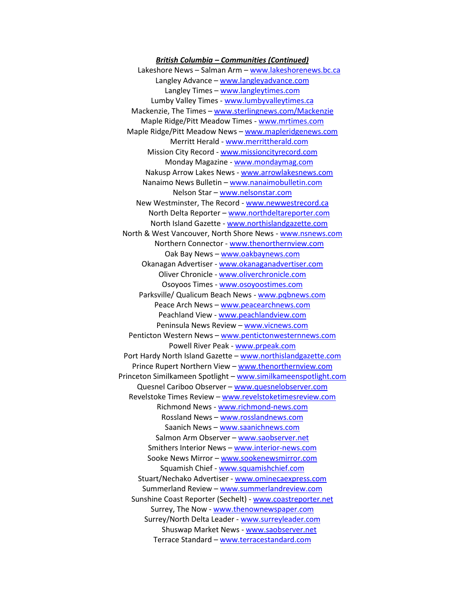*British Columbia – Communities (Continued)* Lakeshore News – Salman Arm – [www.lakeshorenews.bc.ca](http://www.lakeshorenews.bc.ca/) Langley Advance – [www.langleyadvance.com](http://www.langleyadvance.com/) Langley Times – www.langleytimes.com Lumby Valley Times - [www.lumbyvalleytimes.ca](http://www.lumbyvalleytimes.ca/) Mackenzie, The Times – [www.sterlingnews.com/Mackenzie](http://www.sterlingnews.com/Mackenzie) Maple Ridge/Pitt Meadow Times - [www.mrtimes.com](http://www.mrtimes.com/) Maple Ridge/Pitt Meadow News – [www.mapleridgenews.com](http://www.mapleridgenews.com/) Merritt Herald - [www.merrittherald.com](http://www.merrittherald.com/) Mission City Record - [www.missioncityrecord.com](http://www.missioncityrecord.com/) Monday Magazine - [www.mondaymag.com](http://www.mondaymag.com/) Nakusp Arrow Lakes News - [www.arrowlakesnews.com](http://www.arrowlakesnews.com/) Nanaimo News Bulletin – [www.nanaimobulletin.com](http://www.nanaimobulletin.com/) Nelson Star – [www.nelsonstar.com](http://www.nelsonstar.com/) New Westminster, The Record - [www.newwestrecord.ca](http://www.newwestrecord.ca/) North Delta Reporter – [www.northdeltareporter.com](http://www.northdeltareporter.com/) North Island Gazette - [www.northislandgazette.com](http://www.northislandgazette.com/) North & West Vancouver, North Shore News - [www.nsnews.com](http://www.nsnews.com/) Northern Connector - [www.thenorthernview.com](http://www.thenorthernview.com/) Oak Bay News - [www.oakbaynews.com](http://www.oakbaynews.com/) Okanagan Advertiser - [www.okanaganadvertiser.com](http://www.okanaganadvertiser.com/) Oliver Chronicle - [www.oliverchronicle.com](http://www.oliverchronicle.com/) Osoyoos Times - [www.osoyoostimes.com](http://www.osoyoostimes.com/) Parksville/ Qualicum Beach News - [www.pqbnews.com](http://www.pqbnews.com/) Peace Arch News – [www.peacearchnews.com](http://www.peacearchnews.com/) Peachland View - [www.peachlandview.com](http://www.peachlandview.com/) Peninsula News Review – [www.vicnews.com](http://www.vicnews.com/) Penticton Western News – [www.pentictonwesternnews.com](http://www.pentictonwesternnews.com/) Powell River Peak - [www.prpeak.com](http://www.prpeak.com/) Port Hardy North Island Gazette – [www.northislandgazette.com](http://www.northislandgazette.com/) Prince Rupert Northern View – [www.thenorthernview.com](http://www.thenorthernview.com/) Princeton Similkameen Spotlight – [www.similkameenspotlight.com](http://www.similkameenspotlight.com/) Quesnel Cariboo Observer – [www.quesnelobserver.com](http://www.quesnelobserver.com/) Revelstoke Times Review – [www.revelstoketimesreview.com](http://www.revelstoketimesreview.com/) Richmond News - [www.richmond-news.com](http://www.richmond-news.com/) Rossland News – [www.rosslandnews.com](http://www.rosslandnews.com/) Saanich News – [www.saanichnews.com](http://www.saanichnews.com/) Salmon Arm Observer – [www.saobserver.net](http://www.saobserver.net/) Smithers Interior News – [www.interior-news.com](http://www.interior-news.com/) Sooke News Mirror - [www.sookenewsmirror.com](http://www.sookenewsmirror.com/) Squamish Chief - [www.squamishchief.com](http://www.squamishchief.com/) Stuart/Nechako Advertiser - [www.ominecaexpress.com](http://www.ominecaexpress.com/) Summerland Review – [www.summerlandreview.com](http://www.summerlandreview.com/) Sunshine Coast Reporter (Sechelt) - [www.coastreporter.net](http://www.coastreporter.net/) Surrey, The Now - [www.thenownewspaper.com](http://www.thenownewspaper.com/) Surrey/North Delta Leader - [www.surreyleader.com](http://www.surreyleader.com/) Shuswap Market News - [www.saobserver.net](http://www.saobserver.net/) Terrace Standard – [www.terracestandard.com](http://www.terracestandard.com/)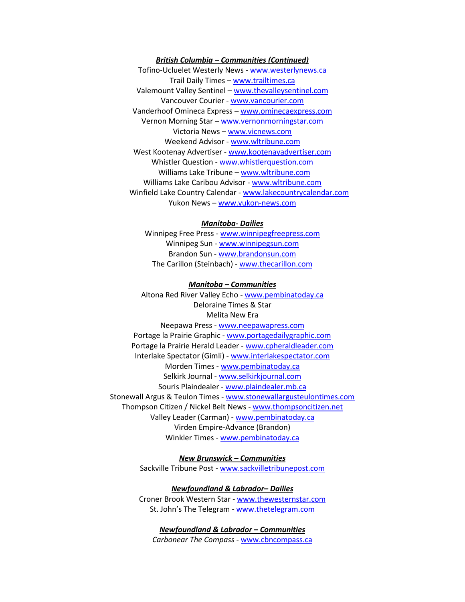#### *British Columbia – Communities (Continued)*

Tofino-Ucluelet Westerly News - [www.westerlynews.ca](http://www.westerlynews.ca/) Trail Daily Times – [www.trailtimes.ca](http://www.trailtimes.ca/) Valemount Valley Sentinel – [www.thevalleysentinel.com](http://www.thevalleysentinel.com/) Vancouver Courier - [www.vancourier.com](http://www.vancourier.com/) Vanderhoof Omineca Express – [www.ominecaexpress.com](http://www.ominecaexpress.com/) Vernon Morning Star – [www.vernonmorningstar.com](http://www.vernonmorningstar.com/) Victoria News – [www.vicnews.com](http://www.vicnews.com/) Weekend Advisor - [www.wltribune.com](http://www.wltribune.com/) West Kootenay Advertiser - [www.kootenayadvertiser.com](http://www.kootenayadvertiser.com/) Whistler Question - [www.whistlerquestion.com](http://www.whistlerquestion.com/) Williams Lake Tribune – [www.wltribune.com](http://www.wltribune.com/) Williams Lake Caribou Advisor - [www.wltribune.com](http://www.wltribune.com/) Winfield Lake Country Calendar - [www.lakecountrycalendar.com](http://www.lakecountrycalendar.com/) Yukon News – [www.yukon-news.com](http://www.yukon-news.com/)

#### *Manitoba- Dailies*

Winnipeg Free Press - [www.winnipegfreepress.com](http://www.winnipegfreepress.com/) Winnipeg Sun - [www.winnipegsun.com](http://www.winnipegsun.com/) Brandon Sun - [www.brandonsun.com](http://www.brandonsun.com/) The Carillon (Steinbach) - [www.thecarillon.com](http://www.thecarillon.com/)

#### *Manitoba – Communities*

Altona Red River Valley Echo - [www.pembinatoday.ca](http://www.pembinatoday.ca/) Deloraine Times & Star Melita New Era Neepawa Press - [www.neepawapress.com](http://www.neepawapress.com/) Portage la Prairie Graphic - [www.portagedailygraphic.com](http://www.portagedailygraphic.com/) Portage la Prairie Herald Leader - [www.cpheraldleader.com](http://www.cpheraldleader.com/) Interlake Spectator (Gimli) - [www.interlakespectator.com](http://www.interlakespectator.com/) Morden Times - [www.pembinatoday.ca](http://www.pembinatoday.ca/) Selkirk Journal - [www.selkirkjournal.com](http://www.selkirkjournal.com/) Souris Plaindealer - [www.plaindealer.mb.ca](http://www.plaindealer.mb.ca/) Stonewall Argus & Teulon Times - [www.stonewallargusteulontimes.com](http://www.stonewallargusteulontimes.com/) Thompson Citizen / Nickel Belt News - [www.thompsoncitizen.net](http://www.thompsoncitizen.net/) Valley Leader (Carman) - [www.pembinatoday.ca](http://www.pembinatoday.ca/) Virden Empire-Advance (Brandon) Winkler Times - [www.pembinatoday.ca](http://www.pembinatoday.ca/)

> *New Brunswick – Communities* Sackville Tribune Post - [www.sackvilletribunepost.com](http://www.sackvilletribunepost.com/)

> *Newfoundland & Labrador– Dailies* Croner Brook Western Star - [www.thewesternstar.com](http://www.thewesternstar.com/) St. John's The Telegram - [www.thetelegram.com](http://www.thetelegram.com/)

*Newfoundland & Labrador – Communities Carbonear The Compass -* [www.cbncompass.ca](http://www.cbncompass.ca/)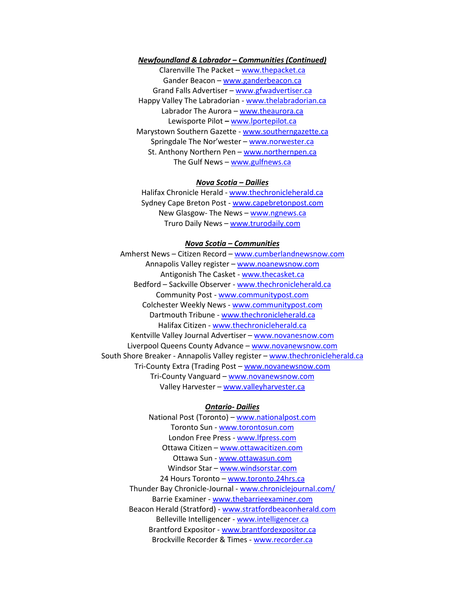#### *Newfoundland & Labrador – Communities (Continued)*

Clarenville The Packet – [www.thepacket.ca](http://www.thepacket.ca/) Gander Beacon – [www.ganderbeacon.ca](http://www.ganderbeacon.ca/) Grand Falls Advertiser – [www.gfwadvertiser.ca](http://www.gfwadvertiser.ca/) Happy Valley The Labradorian - [www.thelabradorian.ca](http://www.thelabradorian.ca/) Labrador The Aurora - [www.theaurora.ca](http://www.theaurora.ca/) Lewisporte Pilot *–* [www.lportepilot.ca](http://www.lportepilot.ca/) Marystown Southern Gazette - [www.southerngazette.ca](http://www.southerngazette.ca/) Springdale The Nor'wester – [www.norwester.ca](http://www.norwester.ca/) St. Anthony Northern Pen – [www.northernpen.ca](http://www.northernpen.ca/) The Gulf News – [www.gulfnews.ca](http://www.gulfnews.ca/)

#### *Nova Scotia – Dailies*

Halifax Chronicle Herald - [www.thechronicleherald.ca](http://www.thechronicleherald.ca/) Sydney Cape Breton Post - [www.capebretonpost.com](http://www.capebretonpost.com/) New Glasgow- The News – [www.ngnews.ca](http://www.ngnews.ca/) Truro Daily News – [www.trurodaily.com](http://www.trurodaily.com/)

#### *Nova Scotia – Communities*

Amherst News – Citizen Record – [www.cumberlandnewsnow.com](http://www.cumberlandnewsnow.com/) Annapolis Valley register – [www.noanewsnow.com](http://www.noanewsnow.com/) Antigonish The Casket - [www.thecasket.ca](http://www.thecasket.ca/) Bedford – Sackville Observer - [www.thechronicleherald.ca](http://www.thechronicleherald.ca/) Community Post - [www.communitypost.com](http://www.communitypost.com/) Colchester Weekly News - [www.communitypost.com](http://www.communitypost.com/) Dartmouth Tribune - [www.thechronicleherald.ca](http://www.thechronicleherald.ca/) Halifax Citizen - [www.thechronicleherald.ca](http://www.thechronicleherald.ca/) Kentville Valley Journal Advertiser – [www.novanesnow.com](http://www.novanesnow.com/) Liverpool Queens County Advance – [www.novanewsnow.com](http://www.novanewsnow.com/) South Shore Breaker - Annapolis Valley register – [www.thechronicleherald.ca](http://www.thechronicleherald.ca/) Tri-County Extra (Trading Post – [www.novanewsnow.com](http://www.novanewsnow.com/) Tri-County Vanguard – [www.novanewsnow.com](http://www.novanewsnow.com/) Valley Harvester – [www.valleyharvester.ca](http://www.valleyharvester.ca/)

#### *Ontario- Dailies*

National Post (Toronto) - [www.nationalpost.com](http://www.nationalpost.com/) Toronto Sun - [www.torontosun.com](http://www.torontosun.com/) London Free Press - [www.lfpress.com](http://www.lfpress.com/) Ottawa Citizen – [www.ottawacitizen.com](http://www.ottawacitizen.com/) Ottawa Sun - [www.ottawasun.com](http://www.ottawasun.com/) Windsor Star – [www.windsorstar.com](http://www.windsorstar.com/) 24 Hours Toronto – [www.toronto.24hrs.ca](http://www.toronto.24hrs.ca/) Thunder Bay Chronicle-Journal - [www.chroniclejournal.com/](http://www.chroniclejournal.com/) Barrie Examiner - [www.thebarrieexaminer.com](http://www.thebarrieexaminer.com/) Beacon Herald (Stratford) - [www.stratfordbeaconherald.com](http://www.stratfordbeaconherald.com/) Belleville Intelligencer - [www.intelligencer.ca](http://www.intelligencer.ca/) Brantford Expositor - [www.brantfordexpositor.ca](http://www.brantfordexpositor.ca/) Brockville Recorder & Times - [www.recorder.ca](http://www.recorder.ca/)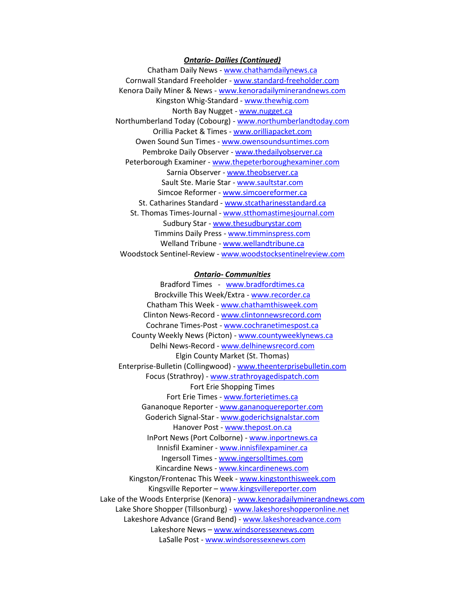#### *Ontario- Dailies (Continued)*

Chatham Daily News - [www.chathamdailynews.ca](http://www.chathamdailynews.ca/) Cornwall Standard Freeholder - [www.standard-freeholder.com](http://www.standard-freeholder.com/) Kenora Daily Miner & News - [www.kenoradailyminerandnews.com](http://www.kenoradailyminerandnews.com/) Kingston Whig-Standard - [www.thewhig.com](http://www.thewhig.com/) North Bay Nugget - [www.nugget.ca](http://www.nugget.ca/) Northumberland Today (Cobourg) - [www.northumberlandtoday.com](http://www.northumberlandtoday.com/) Orillia Packet & Times - [www.orilliapacket.com](http://www.orilliapacket.com/) Owen Sound Sun Times - [www.owensoundsuntimes.com](http://www.owensoundsuntimes.com/) Pembroke Daily Observer - [www.thedailyobserver.ca](http://www.thedailyobserver.ca/) Peterborough Examiner - [www.thepeterboroughexaminer.com](http://www.thepeterboroughexaminer.com/) Sarnia Observer - [www.theobserver.ca](http://www.theobserver.ca/) Sault Ste. Marie Star - [www.saultstar.com](http://www.saultstar.com/) Simcoe Reformer - [www.simcoereformer.ca](http://www.simcoereformer.ca/) St. Catharines Standard - [www.stcatharinesstandard.ca](http://www.stcatharinesstandard.ca/) St. Thomas Times-Journal - [www.stthomastimesjournal.com](http://www.stthomastimesjournal.com/) Sudbury Star - [www.thesudburystar.com](http://www.thesudburystar.com/) Timmins Daily Press - [www.timminspress.com](http://www.timminspress.com/) Welland Tribune - [www.wellandtribune.ca](http://www.wellandtribune.ca/) Woodstock Sentinel-Review - [www.woodstocksentinelreview.com](http://www.woodstocksentinelreview.com/)

#### *Ontario- Communities*

Bradford Times - [www.bradfordtimes.ca](http://www.bradfordtimes.ca/) Brockville This Week/Extra - [www.recorder.ca](http://www.recorder.ca/) Chatham This Week - [www.chathamthisweek.com](http://www.chathamthisweek.com/) Clinton News-Record - [www.clintonnewsrecord.com](http://www.clintonnewsrecord.com/) Cochrane Times-Post - [www.cochranetimespost.ca](http://www.cochranetimespost.ca/) County Weekly News (Picton) - [www.countyweeklynews.ca](http://www.countyweeklynews.ca/) Delhi News-Record - [www.delhinewsrecord.com](http://www.delhinewsrecord.com/) Elgin County Market (St. Thomas) Enterprise-Bulletin (Collingwood) - [www.theenterprisebulletin.com](http://www.theenterprisebulletin.com/) Focus (Strathroy) - [www.strathroyagedispatch.com](http://www.strathroyagedispatch.com/) Fort Erie Shopping Times Fort Erie Times - [www.forterietimes.ca](http://www.forterietimes.ca/) Gananoque Reporter - [www.gananoquereporter.com](http://www.gananoquereporter.com/) Goderich Signal-Star - [www.goderichsignalstar.com](http://www.goderichsignalstar.com/) Hanover Post - [www.thepost.on.ca](http://www.thepost.on.ca/) InPort News (Port Colborne) - [www.inportnews.ca](http://www.inportnews.ca/) Innisfil Examiner - [www.innisfilexpaminer.ca](http://www.innisfilexpaminer.ca/) Ingersoll Times - [www.ingersolltimes.com](http://www.ingersolltimes.com/) Kincardine News - [www.kincardinenews.com](http://www.kincardinenews.com/) Kingston/Frontenac This Week - [www.kingstonthisweek.com](http://www.kingstonthisweek.com/) Kingsville Reporter – [www.kingsvillereporter.com](http://www.kingsvillereporter.com/) Lake of the Woods Enterprise (Kenora) - [www.kenoradailyminerandnews.com](http://www.kenoradailyminerandnews.com/) Lake Shore Shopper (Tillsonburg) - [www.lakeshoreshopperonline.net](http://www.lakeshoreshopperonline.net/) Lakeshore Advance (Grand Bend) - [www.lakeshoreadvance.com](http://www.lakeshoreadvance.com/) Lakeshore News – [www.windsoressexnews.com](http://www.windsoressexnews.com/) LaSalle Post - [www.windsoressexnews.com](http://www.windsoressexnews.com/)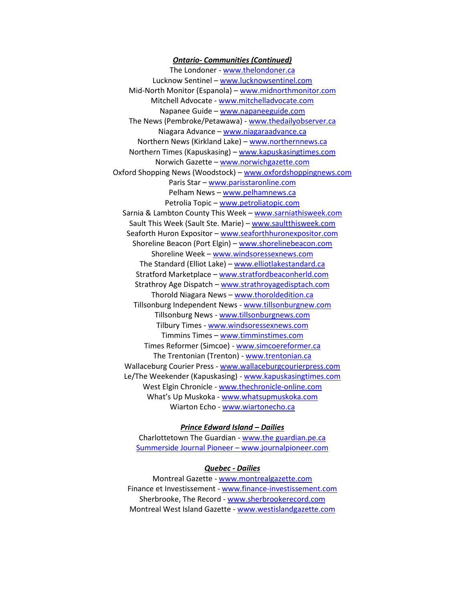#### *Ontario- Communities (Continued)*

The Londoner - [www.thelondoner.ca](http://www.thelondoner.ca/) Lucknow Sentinel – [www.lucknowsentinel.com](http://www.lucknowsentinel.com/) Mid-North Monitor (Espanola) – [www.midnorthmonitor.com](http://www.midnorthmonitor.com/) Mitchell Advocate - [www.mitchelladvocate.com](http://www.mitchelladvocate.com/) Napanee Guide – [www.napaneeguide.com](http://www.napaneeguide.com/) The News (Pembroke/Petawawa) - [www.thedailyobserver.ca](http://www.thedailyobserver.ca/) Niagara Advance – [www.niagaraadvance.ca](http://www.niagaraadvance.ca/) Northern News (Kirkland Lake) – [www.northernnews.ca](http://www.northernnews.ca/) Northern Times (Kapuskasing) – [www.kapuskasingtimes.com](http://www.kapuskasingtimes.com/) Norwich Gazette – [www.norwichgazette.com](http://www.norwichgazette.com/) Oxford Shopping News (Woodstock) – [www.oxfordshoppingnews.com](http://www.oxfordshoppingnews.com/) Paris Star – [www.parisstaronline.com](http://www.parisstaronline.com/) Pelham News – [www.pelhamnews.ca](http://www.pelhamnews.ca/) Petrolia Topic – [www.petroliatopic.com](http://www.petroliatopic.com/) Sarnia & Lambton County This Week – [www.sarniathisweek.com](http://www.sarniathisweek.com/) Sault This Week (Sault Ste. Marie) – [www.saultthisweek.com](http://www.saultthisweek.com/) Seaforth Huron Expositor – [www.seaforthhuronexpositor.com](http://www.seaforthhuronexpositor.com/) Shoreline Beacon (Port Elgin) – [www.shorelinebeacon.com](http://www.shorelinebeacon.com/) Shoreline Week - [www.windsoressexnews.com](http://www.windsoressexnews.com/) The Standard (Elliot Lake) – [www.elliotlakestandard.ca](http://www.elliotlakestandard.ca/) Stratford Marketplace – [www.stratfordbeaconherld.com](http://www.stratfordbeaconherld.com/) Strathroy Age Dispatch – [www.strathroyagedisptach.com](http://www.strathroyagedisptach.com/) Thorold Niagara News - [www.thoroldedition.ca](http://www.thoroldedition.ca/) Tillsonburg Independent News - [www.tillsonburgnew.com](http://www.tillsonburgnew.com/) Tillsonburg News - [www.tillsonburgnews.com](http://www.tillsonburgnews.com/) Tilbury Times - [www.windsoressexnews.com](http://www.windsoressexnews.com/) Timmins Times – [www.timminstimes.com](http://www.timminstimes.com/) Times Reformer (Simcoe) - [www.simcoereformer.ca](http://www.simcoereformer.ca/) The Trentonian (Trenton) - [www.trentonian.ca](http://www.trentonian.ca/) Wallaceburg Courier Press - [www.wallaceburgcourierpress.com](http://www.wallaceburgcourierpress.com/) Le/The Weekender (Kapuskasing) - [www.kapuskasingtimes.com](http://www.kapuskasingtimes.com/) West Elgin Chronicle - [www.thechronicle-online.com](http://www.thechronicle-online.com/) What's Up Muskoka - [www.whatsupmuskoka.com](http://www.whatsupmuskoka.com/) Wiarton Echo - [www.wiartonecho.ca](http://www.wiartonecho.ca/)

#### *Prince Edward Island – Dailies*

Charlottetown The Guardian - [www.t](http://www.montrealgazette.com/)he guardian.pe.ca Summerside Journal Pioneer – [www.journalpioneer.com](http://www.journalpioneer.com/)

#### *Quebec - Dailies*

Montreal Gazette - [www.montrealgazette.com](http://www.montrealgazette.com/) Finance et Investissement - [www.finance-investissement.com](http://www.finance-investissement.com/) Sherbrooke, The Record - [www.sherbrookerecord.com](http://www.sherbrookerecord.com/) Montreal West Island Gazette - [www.westislandgazette.com](http://www.westislandgazette.com/)